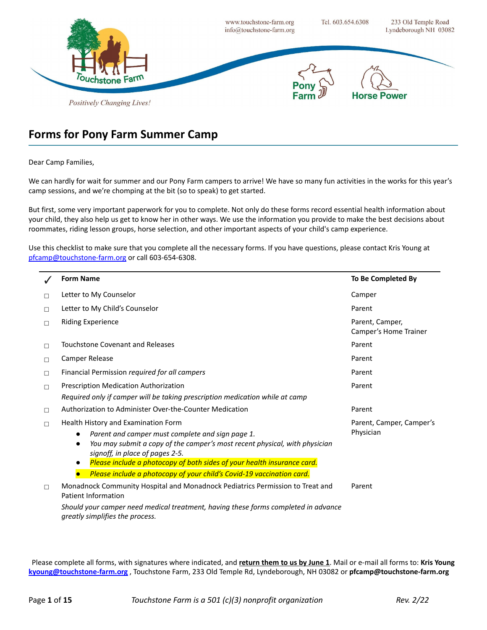

## **Forms for Pony Farm Summer Camp**

#### Dear Camp Families,

We can hardly for wait for summer and our Pony Farm campers to arrive! We have so many fun activities in the works for this year's camp sessions, and we're chomping at the bit (so to speak) to get started.

But first, some very important paperwork for you to complete. Not only do these forms record essential health information about your child, they also help us get to know her in other ways. We use the information you provide to make the best decisions about roommates, riding lesson groups, horse selection, and other important aspects of your child's camp experience.

Use this checklist to make sure that you complete all the necessary forms. If you have questions, please contact Kris Young at [pfcamp@touchstone-farm.org](mailto:pfcamp@touchstone-farm.org) or call 603-654-6308.

|        | <b>Form Name</b>                                                                                                           | To Be Completed By                       |
|--------|----------------------------------------------------------------------------------------------------------------------------|------------------------------------------|
| □      | Letter to My Counselor                                                                                                     | Camper                                   |
| $\Box$ | Letter to My Child's Counselor                                                                                             | Parent                                   |
| $\Box$ | <b>Riding Experience</b>                                                                                                   | Parent, Camper,<br>Camper's Home Trainer |
| $\Box$ | Touchstone Covenant and Releases                                                                                           | Parent                                   |
| $\Box$ | Camper Release                                                                                                             | Parent                                   |
| $\Box$ | Financial Permission required for all campers                                                                              | Parent                                   |
| $\Box$ | Prescription Medication Authorization                                                                                      | Parent                                   |
|        | Required only if camper will be taking prescription medication while at camp                                               |                                          |
| $\Box$ | Authorization to Administer Over-the-Counter Medication                                                                    | Parent                                   |
| П      | Health History and Examination Form                                                                                        | Parent, Camper, Camper's                 |
|        | Parent and camper must complete and sign page 1.                                                                           | Physician                                |
|        | You may submit a copy of the camper's most recent physical, with physician<br>$\bullet$<br>signoff, in place of pages 2-5. |                                          |
|        | Please include a photocopy of both sides of your health insurance card.                                                    |                                          |
|        | Please include a photocopy of your child's Covid-19 vaccination card.                                                      |                                          |
| $\Box$ | Monadnock Community Hospital and Monadnock Pediatrics Permission to Treat and<br>Patient Information                       | Parent                                   |
|        | Should your camper need medical treatment, having these forms completed in advance<br>greatly simplifies the process.      |                                          |

Please complete all forms, with signatures where indicated, and **return them to us by June 1**. Mail or e-mail all forms to: **Kris Young [kyoung@touchstone-farm.org](mailto:kyoung@touchstone-farm.org)** , Touchstone Farm, 233 Old Temple Rd, Lyndeborough, NH 03082 or **pfcamp@touchstone-farm.org**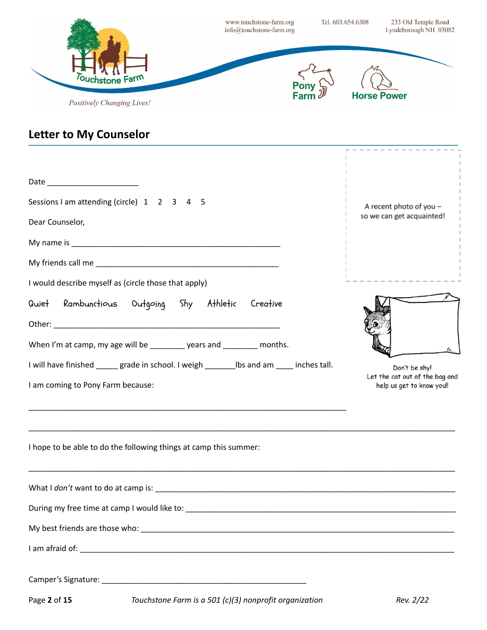|                                                                                                                                                                                                         | www.touchstone-farm.org<br>info@touchstone-farm.org |              | Tel. 603.654.6308  | 233 Old Temple Road<br>Lyndeborough NH 03082    |
|---------------------------------------------------------------------------------------------------------------------------------------------------------------------------------------------------------|-----------------------------------------------------|--------------|--------------------|-------------------------------------------------|
| Touchstone Farm<br>Positively Changing Lives!                                                                                                                                                           |                                                     |              | <b>Horse Power</b> |                                                 |
| <b>Letter to My Counselor</b>                                                                                                                                                                           |                                                     |              |                    | --------------                                  |
|                                                                                                                                                                                                         |                                                     |              |                    |                                                 |
| Sessions I am attending (circle) 1 2 3 4 5                                                                                                                                                              |                                                     |              |                    | A recent photo of you -                         |
| Dear Counselor,                                                                                                                                                                                         |                                                     |              |                    | so we can get acquainted!                       |
|                                                                                                                                                                                                         |                                                     |              |                    |                                                 |
|                                                                                                                                                                                                         |                                                     |              |                    |                                                 |
| I would describe myself as (circle those that apply)                                                                                                                                                    |                                                     |              |                    |                                                 |
| Quiet Rambunctious Outgoing Shy Athletic Creative                                                                                                                                                       |                                                     |              |                    |                                                 |
|                                                                                                                                                                                                         |                                                     |              |                    |                                                 |
| When I'm at camp, my age will be _________ years and ________ months.                                                                                                                                   |                                                     |              |                    |                                                 |
| I will have finished<br>grade in school. I weigh                                                                                                                                                        | lbs and am                                          | inches tall. |                    | Don't be shy!<br>Let the cat out of the bag and |
| I am coming to Pony Farm because:                                                                                                                                                                       |                                                     |              |                    | help us get to know you!!                       |
| <u> 1980 - Johann John Stoff, deutscher Stoffen und der Stoffen und der Stoffen und der Stoffen und der Stoffen</u><br>,我们也不能在这里的时候,我们也不能在这里的时候,我们也不能在这里的时候,我们也不能会在这里的时候,我们也不能会在这里的时候,我们也不能会在这里的时候,我们也不 |                                                     |              |                    |                                                 |
| I hope to be able to do the following things at camp this summer:                                                                                                                                       |                                                     |              |                    |                                                 |
|                                                                                                                                                                                                         |                                                     |              |                    |                                                 |
|                                                                                                                                                                                                         |                                                     |              |                    |                                                 |
|                                                                                                                                                                                                         |                                                     |              |                    |                                                 |
|                                                                                                                                                                                                         |                                                     |              |                    |                                                 |
|                                                                                                                                                                                                         |                                                     |              |                    |                                                 |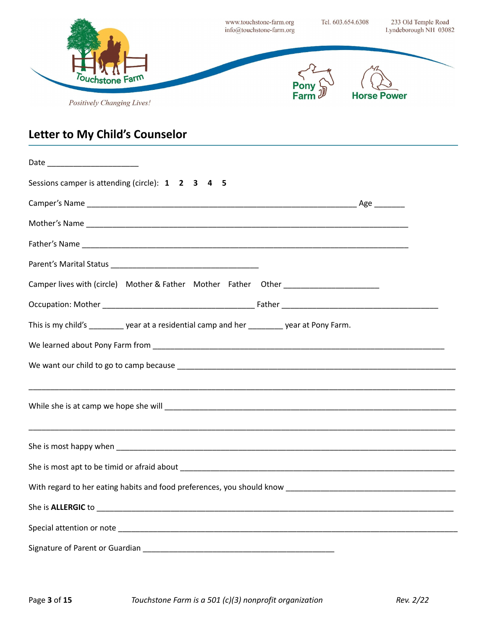

# **Letter to My Child's Counselor**

| Sessions camper is attending (circle): 1 2 3 4 5                                           |  |  |  |  |  |
|--------------------------------------------------------------------------------------------|--|--|--|--|--|
|                                                                                            |  |  |  |  |  |
|                                                                                            |  |  |  |  |  |
|                                                                                            |  |  |  |  |  |
|                                                                                            |  |  |  |  |  |
| Camper lives with (circle) Mother & Father Mother Father Other _________________           |  |  |  |  |  |
|                                                                                            |  |  |  |  |  |
| This is my child's ________ year at a residential camp and her ________ year at Pony Farm. |  |  |  |  |  |
|                                                                                            |  |  |  |  |  |
|                                                                                            |  |  |  |  |  |
|                                                                                            |  |  |  |  |  |
|                                                                                            |  |  |  |  |  |
|                                                                                            |  |  |  |  |  |
|                                                                                            |  |  |  |  |  |
|                                                                                            |  |  |  |  |  |
|                                                                                            |  |  |  |  |  |
|                                                                                            |  |  |  |  |  |
|                                                                                            |  |  |  |  |  |
|                                                                                            |  |  |  |  |  |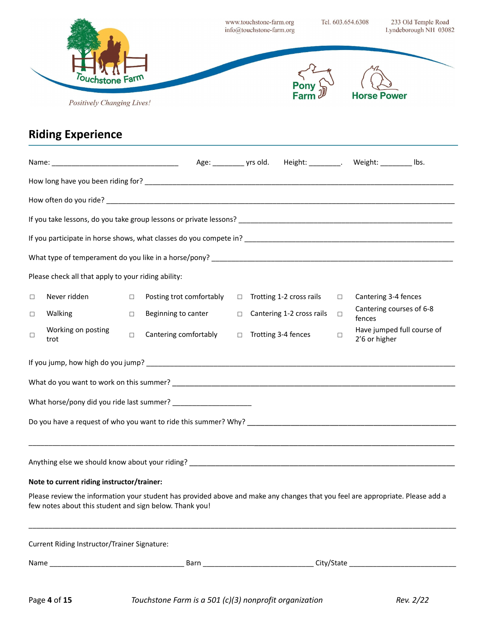|        |                                                         |        |                                                                                                                                |        | www.touchstone-farm.org<br>info@touchstone-farm.org |                           | Tel. 603.654.6308 |               | 233 Old Temple Road<br>Lyndeborough NH 03082 |
|--------|---------------------------------------------------------|--------|--------------------------------------------------------------------------------------------------------------------------------|--------|-----------------------------------------------------|---------------------------|-------------------|---------------|----------------------------------------------|
|        | ouchstone<br>Positively Changing Lives!                 |        |                                                                                                                                |        |                                                     |                           |                   |               |                                              |
|        | <b>Riding Experience</b>                                |        |                                                                                                                                |        |                                                     |                           |                   |               |                                              |
|        |                                                         |        |                                                                                                                                |        |                                                     |                           |                   |               |                                              |
|        |                                                         |        |                                                                                                                                |        |                                                     |                           |                   |               |                                              |
|        |                                                         |        |                                                                                                                                |        |                                                     |                           |                   |               |                                              |
|        |                                                         |        |                                                                                                                                |        |                                                     |                           |                   |               |                                              |
|        |                                                         |        |                                                                                                                                |        |                                                     |                           |                   |               |                                              |
|        |                                                         |        |                                                                                                                                |        |                                                     |                           |                   |               |                                              |
|        | Please check all that apply to your riding ability:     |        |                                                                                                                                |        |                                                     |                           |                   |               |                                              |
| $\Box$ | Never ridden                                            | $\Box$ | Posting trot comfortably                                                                                                       | $\Box$ |                                                     | Trotting 1-2 cross rails  | □                 |               | Cantering 3-4 fences                         |
| □      | Walking                                                 | $\Box$ | Beginning to canter                                                                                                            | $\Box$ |                                                     | Cantering 1-2 cross rails | □                 | fences        | Cantering courses of 6-8                     |
| $\Box$ | Working on posting<br>trot                              | $\Box$ | Cantering comfortably                                                                                                          | $\Box$ |                                                     | Trotting 3-4 fences       | $\Box$            | 2'6 or higher | Have jumped full course of                   |
|        |                                                         |        |                                                                                                                                |        |                                                     |                           |                   |               |                                              |
|        |                                                         |        |                                                                                                                                |        |                                                     |                           |                   |               |                                              |
|        |                                                         |        | What horse/pony did you ride last summer? ________________________                                                             |        |                                                     |                           |                   |               |                                              |
|        |                                                         |        |                                                                                                                                |        |                                                     |                           |                   |               |                                              |
|        |                                                         |        |                                                                                                                                |        |                                                     |                           |                   |               |                                              |
|        | Note to current riding instructor/trainer:              |        |                                                                                                                                |        |                                                     |                           |                   |               |                                              |
|        | few notes about this student and sign below. Thank you! |        | Please review the information your student has provided above and make any changes that you feel are appropriate. Please add a |        |                                                     |                           |                   |               |                                              |
|        | Current Riding Instructor/Trainer Signature:            |        |                                                                                                                                |        |                                                     |                           |                   |               |                                              |
|        |                                                         |        |                                                                                                                                |        |                                                     |                           |                   |               |                                              |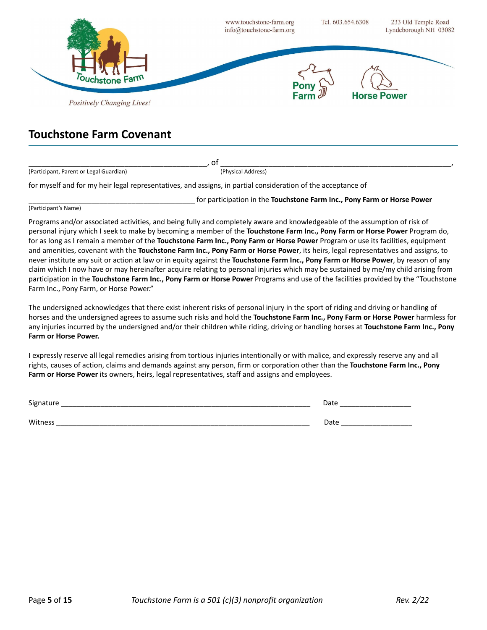

#### **Touchstone Farm Covenant**

\_\_\_\_\_\_\_\_\_\_\_\_\_\_\_\_\_\_\_\_\_\_\_\_\_\_\_\_\_\_\_\_\_\_\_\_\_\_\_\_\_, of \_\_\_\_\_\_\_\_\_\_\_\_\_\_\_\_\_\_\_\_\_\_\_\_\_\_\_\_\_\_\_\_\_\_\_\_\_\_\_\_\_\_\_\_\_\_\_\_\_\_\_\_\_, (Participant, Parent or Legal Guardian) (Physical Address)

for myself and for my heir legal representatives, and assigns, in partial consideration of the acceptance of

\_\_\_\_\_\_\_\_\_\_\_\_\_\_\_\_\_\_\_\_\_\_\_\_\_\_\_\_\_\_\_\_\_\_\_\_\_\_\_\_\_\_ for participation in the **Touchstone Farm Inc., Pony Farm or Horse Power** (Participant's Name)

Programs and/or associated activities, and being fully and completely aware and knowledgeable of the assumption of risk of personal injury which I seek to make by becoming a member of the **Touchstone Farm Inc., Pony Farm or Horse Power** Program do, for as long as I remain a member of the **Touchstone Farm Inc., Pony Farm or Horse Power** Program or use its facilities, equipment and amenities, covenant with the **Touchstone Farm Inc., Pony Farm or Horse Power**, its heirs, legal representatives and assigns, to never institute any suit or action at law or in equity against the **Touchstone Farm Inc., Pony Farm or Horse Power**, by reason of any claim which I now have or may hereinafter acquire relating to personal injuries which may be sustained by me/my child arising from participation in the **Touchstone Farm Inc., Pony Farm or Horse Power** Programs and use of the facilities provided by the "Touchstone Farm Inc., Pony Farm, or Horse Power."

The undersigned acknowledges that there exist inherent risks of personal injury in the sport of riding and driving or handling of horses and the undersigned agrees to assume such risks and hold the **Touchstone Farm Inc., Pony Farm or Horse Power** harmless for any injuries incurred by the undersigned and/or their children while riding, driving or handling horses at **Touchstone Farm Inc., Pony Farm or Horse Power.**

I expressly reserve all legal remedies arising from tortious injuries intentionally or with malice, and expressly reserve any and all rights, causes of action, claims and demands against any person, firm or corporation other than the **Touchstone Farm Inc., Pony Farm or Horse Power** its owners, heirs, legal representatives, staff and assigns and employees.

| Signature                  | ∩∽+∠<br>Date              |
|----------------------------|---------------------------|
| A/itne<br><b>VVILIICSS</b> | า∽+<br>Date<br>__________ |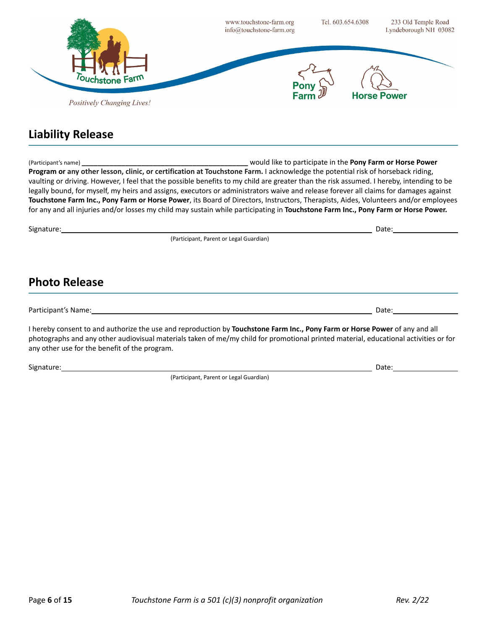

## **Liability Release**

(Participant's name) **\_\_\_\_\_\_\_\_\_\_\_\_\_\_\_\_\_\_\_\_\_\_\_\_\_\_\_\_\_\_\_\_\_\_\_\_\_\_\_\_\_\_** would like to participate in the **Pony Farm or Horse Power Program or any other lesson, clinic, or certification at Touchstone Farm.** I acknowledge the potential risk of horseback riding, vaulting or driving. However, I feel that the possible benefits to my child are greater than the risk assumed. I hereby, intending to be legally bound, for myself, my heirs and assigns, executors or administrators waive and release forever all claims for damages against **Touchstone Farm Inc., Pony Farm or Horse Power**, its Board of Directors, Instructors, Therapists, Aides, Volunteers and/or employees for any and all injuries and/or losses my child may sustain while participating in **Touchstone Farm Inc., Pony Farm or Horse Power.**

Signature: Date: Date: Date: Date: Date: Date: Date: Date: Date: Date: Date: Date: Date: Date: Date: Date: Date: Date: Date: Date: Date: Date: Date: Date: Date: Date: Date: Date: Date: Date: Date: Date: Date: Date: Date: D (Participant, Parent or Legal Guardian) **Photo Release** Participant's Name: Date:

I hereby consent to and authorize the use and reproduction by **Touchstone Farm Inc., Pony Farm or Horse Power** of any and all photographs and any other audiovisual materials taken of me/my child for promotional printed material, educational activities or for any other use for the benefit of the program.

Signature: Date: Date: Date: Date: Date: Date: Date: Date: Date: Date: Date: Date: Date: Date: Date: Date: Date: Date: Date: Date: Date: Date: Date: Date: Date: Date: Date: Date: Date: Date: Date: Date: Date: Date: Date: D

(Participant, Parent or Legal Guardian)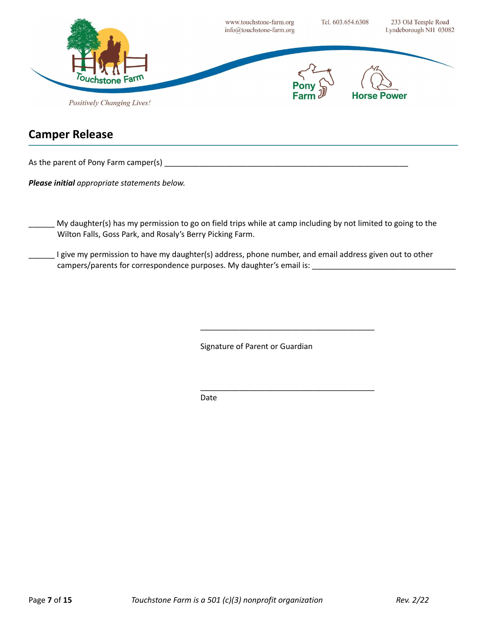

#### **Camper Release**

As the parent of Pony Farm camper(s)  $\blacksquare$ 

*Please initial appropriate statements below.*

My daughter(s) has my permission to go on field trips while at camp including by not limited to going to the Wilton Falls, Goss Park, and Rosaly's Berry Picking Farm.

I give my permission to have my daughter(s) address, phone number, and email address given out to other campers/parents for correspondence purposes. My daughter's email is: \_\_\_\_\_\_\_\_\_\_\_\_\_\_\_\_\_\_\_\_\_\_\_\_\_\_\_\_\_\_\_\_\_

Signature of Parent or Guardian

\_\_\_\_\_\_\_\_\_\_\_\_\_\_\_\_\_\_\_\_\_\_\_\_\_\_\_\_\_\_\_\_\_\_\_\_\_\_\_\_

\_\_\_\_\_\_\_\_\_\_\_\_\_\_\_\_\_\_\_\_\_\_\_\_\_\_\_\_\_\_\_\_\_\_\_\_\_\_\_\_

Date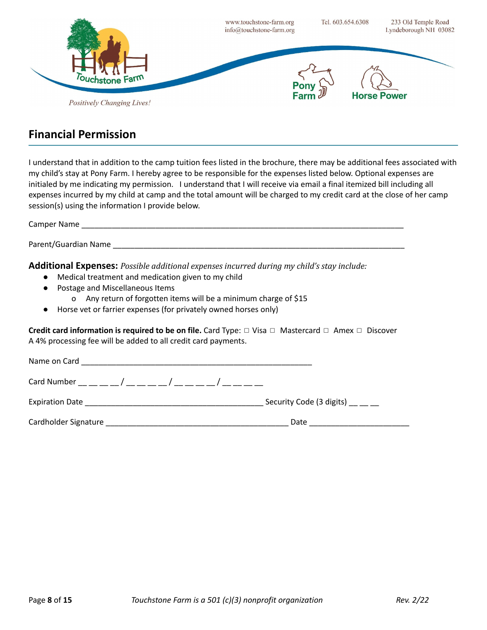

#### **Financial Permission**

I understand that in addition to the camp tuition fees listed in the brochure, there may be additional fees associated with my child's stay at Pony Farm. I hereby agree to be responsible for the expenses listed below. Optional expenses are initialed by me indicating my permission. I understand that I will receive via email a final itemized bill including all expenses incurred by my child at camp and the total amount will be charged to my credit card at the close of her camp session(s) using the information I provide below.

Camper Name

Parent/Guardian Name \_\_\_\_\_\_\_\_\_\_\_\_\_\_\_\_\_\_\_\_\_\_\_\_\_\_\_\_\_\_\_\_\_\_\_\_\_\_\_\_\_\_\_\_\_\_\_\_\_\_\_\_\_\_\_\_\_\_\_\_\_\_\_\_\_\_\_

**Additional Expenses:** *Possible additional expenses incurred during my child's stay include:*

- Medical treatment and medication given to my child
- Postage and Miscellaneous Items
	- o Any return of forgotten items will be a minimum charge of \$15
- Horse vet or farrier expenses (for privately owned horses only)

**Credit card information is required to be on file.** Card Type: ◻ Visa ◻ Mastercard ◻ Amex ◻ Discover A 4% processing fee will be added to all credit card payments.

| Name on Card                             |                                                      |
|------------------------------------------|------------------------------------------------------|
|                                          |                                                      |
| <b>Expiration Date</b>                   | Security Code (3 digits) $\frac{1}{2}$ $\frac{1}{2}$ |
| Cardholder Signature <b>Example 2018</b> | Date                                                 |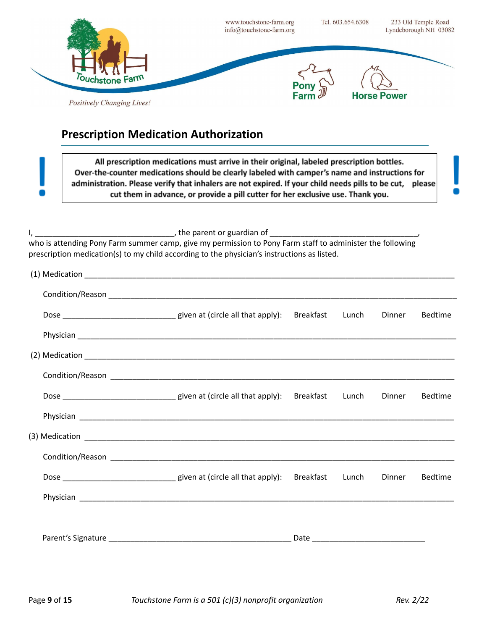

## **Prescription Medication Authorization**

All prescription medications must arrive in their original, labeled prescription bottles. Over-the-counter medications should be clearly labeled with camper's name and instructions for administration. Please verify that inhalers are not expired. If your child needs pills to be cut, please cut them in advance, or provide a pill cutter for her exclusive use. Thank you.

I, the parent or guardian of

who is attending Pony Farm summer camp, give my permission to Pony Farm staff to administer the following prescription medication(s) to my child according to the physician's instructions as listed.

|                                                                           | Breakfast | Lunch | Dinner | <b>Bedtime</b> |
|---------------------------------------------------------------------------|-----------|-------|--------|----------------|
|                                                                           |           |       |        |                |
|                                                                           |           |       |        |                |
|                                                                           |           |       |        |                |
|                                                                           |           |       | Dinner | <b>Bedtime</b> |
|                                                                           |           |       |        |                |
|                                                                           |           |       |        |                |
|                                                                           |           |       |        |                |
| Dose __________________________________ given at (circle all that apply): | Breakfast | Lunch | Dinner | <b>Bedtime</b> |
|                                                                           |           |       |        |                |
|                                                                           |           |       |        |                |
|                                                                           |           |       |        |                |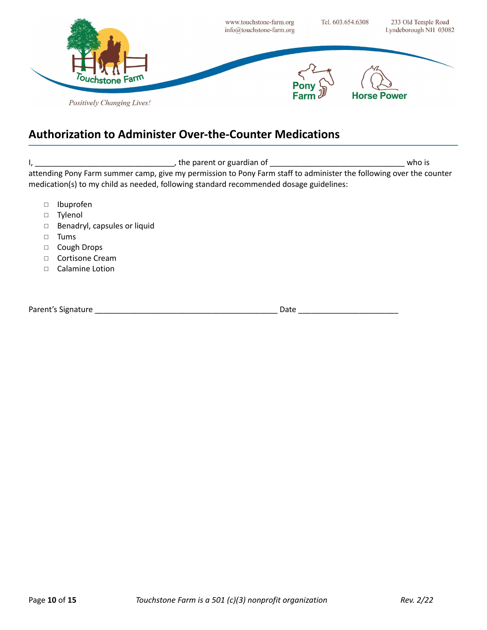

### **Authorization to Administer Over-the-Counter Medications**

I, \_\_\_\_\_\_\_\_\_\_\_\_\_\_\_\_\_\_\_\_\_\_\_\_\_\_\_\_\_\_\_\_, the parent or guardian of \_\_\_\_\_\_\_\_\_\_\_\_\_\_\_\_\_\_\_\_\_\_\_\_\_\_\_\_\_\_\_ who is attending Pony Farm summer camp, give my permission to Pony Farm staff to administer the following over the counter medication(s) to my child as needed, following standard recommended dosage guidelines:

- ◻ Ibuprofen
- ◻ Tylenol
- ◻ Benadryl, capsules or liquid
- ◻ Tums
- ◻ Cough Drops
- ◻ Cortisone Cream
- ◻ Calamine Lotion

Parent's Signature \_\_\_\_\_\_\_\_\_\_\_\_\_\_\_\_\_\_\_\_\_\_\_\_\_\_\_\_\_\_\_\_\_\_\_\_\_\_\_\_\_\_ Date \_\_\_\_\_\_\_\_\_\_\_\_\_\_\_\_\_\_\_\_\_\_\_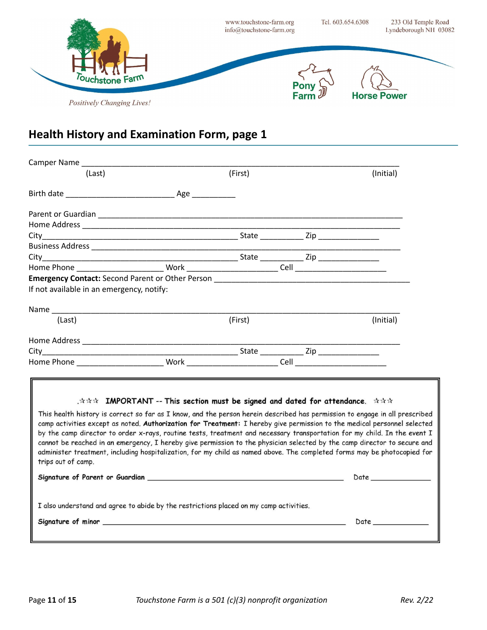

| (Last)                                                                                                                      | (First) |                                                                                                                                   | (Initial) |
|-----------------------------------------------------------------------------------------------------------------------------|---------|-----------------------------------------------------------------------------------------------------------------------------------|-----------|
|                                                                                                                             |         |                                                                                                                                   |           |
|                                                                                                                             |         |                                                                                                                                   |           |
|                                                                                                                             |         |                                                                                                                                   |           |
|                                                                                                                             |         |                                                                                                                                   |           |
|                                                                                                                             |         |                                                                                                                                   |           |
|                                                                                                                             |         |                                                                                                                                   |           |
|                                                                                                                             |         |                                                                                                                                   |           |
|                                                                                                                             |         |                                                                                                                                   |           |
|                                                                                                                             |         |                                                                                                                                   |           |
| If not available in an emergency, notify:                                                                                   |         |                                                                                                                                   |           |
|                                                                                                                             |         |                                                                                                                                   |           |
| (Last)                                                                                                                      | (First) |                                                                                                                                   | (Initial) |
|                                                                                                                             |         |                                                                                                                                   |           |
|                                                                                                                             |         |                                                                                                                                   |           |
|                                                                                                                             |         |                                                                                                                                   |           |
|                                                                                                                             |         |                                                                                                                                   |           |
|                                                                                                                             |         |                                                                                                                                   |           |
|                                                                                                                             |         |                                                                                                                                   |           |
|                                                                                                                             |         | $\therefore \hat{x} \hat{x} \hat{y}$ IMPORTANT -- This section must be signed and dated for attendance. $\hat{x} \hat{x} \hat{x}$ |           |
| This health history is correct so far as I know, and the person herein described has permission to engage in all prescribed |         |                                                                                                                                   |           |
| camp activities except as noted. Authorization for Treatment: I hereby give permission to the medical personnel selected    |         |                                                                                                                                   |           |
| by the camp director to order x-rays, routine tests, treatment and necessary transportation for my child. In the event I    |         |                                                                                                                                   |           |
| cannot be reached in an emergency, I hereby give permission to the physician selected by the camp director to secure and    |         |                                                                                                                                   |           |
| administer treatment, including hospitalization, for my child as named above. The completed forms may be photocopied for    |         |                                                                                                                                   |           |
| trips out of camp.                                                                                                          |         |                                                                                                                                   |           |
|                                                                                                                             |         |                                                                                                                                   |           |
|                                                                                                                             |         |                                                                                                                                   |           |
| I also understand and agree to abide by the restrictions placed on my camp activities.                                      |         |                                                                                                                                   |           |
|                                                                                                                             |         |                                                                                                                                   | Date      |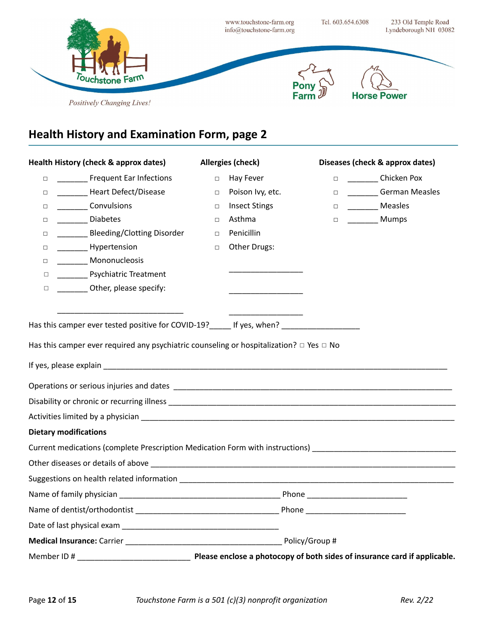

| Health History (check & approx dates)                                                                                                                  |        | <b>Allergies (check)</b>                         | Diseases (check & approx dates) |
|--------------------------------------------------------------------------------------------------------------------------------------------------------|--------|--------------------------------------------------|---------------------------------|
| <b>Frequent Ear Infections</b><br>$\Box$                                                                                                               | $\Box$ | Hay Fever                                        | □ Chicken Pox                   |
| _________ Heart Defect/Disease<br>$\Box$                                                                                                               | $\Box$ | Poison Ivy, etc.                                 | □ __________German Measles      |
| ____________ Convulsions<br>□                                                                                                                          | $\Box$ | <b>Insect Stings</b>                             | D <sub>2</sub> Measles          |
| Diabetes<br>□                                                                                                                                          | $\Box$ | Asthma                                           | □ _________ Mumps               |
| Bleeding/Clotting Disorder<br>□                                                                                                                        | $\Box$ | Penicillin                                       |                                 |
| __________ Hypertension<br>□                                                                                                                           | $\Box$ | Other Drugs:                                     |                                 |
| _________ Mononucleosis<br>$\Box$                                                                                                                      |        |                                                  |                                 |
| ___________ Psychiatric Treatment<br>$\Box$                                                                                                            |        |                                                  |                                 |
| _________ Other, please specify:<br>$\Box$                                                                                                             |        | <u> 1989 - Johann Barn, amerikansk politiker</u> |                                 |
|                                                                                                                                                        |        |                                                  |                                 |
| Has this camper ever tested positive for COVID-19? If yes, when?                                                                                       |        |                                                  |                                 |
| Has this camper ever required any psychiatric counseling or hospitalization? $\Box$ Yes $\Box$ No                                                      |        |                                                  |                                 |
|                                                                                                                                                        |        |                                                  |                                 |
|                                                                                                                                                        |        |                                                  |                                 |
|                                                                                                                                                        |        |                                                  |                                 |
|                                                                                                                                                        |        |                                                  |                                 |
| <b>Dietary modifications</b>                                                                                                                           |        |                                                  |                                 |
| Current medications (complete Prescription Medication Form with instructions)<br>Laterations (complete Prescription Medication Form with instructions) |        |                                                  |                                 |
|                                                                                                                                                        |        |                                                  |                                 |
|                                                                                                                                                        |        |                                                  |                                 |
|                                                                                                                                                        |        |                                                  |                                 |
|                                                                                                                                                        |        |                                                  |                                 |
|                                                                                                                                                        |        |                                                  |                                 |
|                                                                                                                                                        |        |                                                  |                                 |
|                                                                                                                                                        |        |                                                  |                                 |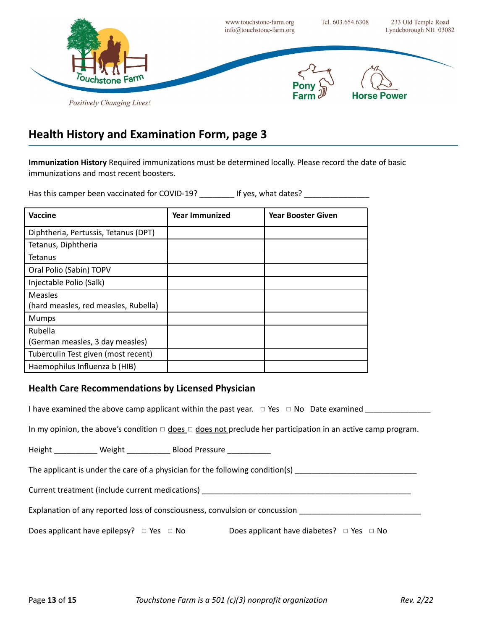

**Immunization History** Required immunizations must be determined locally. Please record the date of basic immunizations and most recent boosters.

Has this camper been vaccinated for COVID-19? \_\_\_\_\_\_\_\_\_ If yes, what dates? \_\_\_\_\_\_\_\_\_\_\_\_\_\_\_\_\_\_\_\_\_\_\_\_

| <b>Vaccine</b>                                  | <b>Year Immunized</b> | <b>Year Booster Given</b> |
|-------------------------------------------------|-----------------------|---------------------------|
| Diphtheria, Pertussis, Tetanus (DPT)            |                       |                           |
| Tetanus, Diphtheria                             |                       |                           |
| Tetanus                                         |                       |                           |
| Oral Polio (Sabin) TOPV                         |                       |                           |
| Injectable Polio (Salk)                         |                       |                           |
| Measles<br>(hard measles, red measles, Rubella) |                       |                           |
| <b>Mumps</b>                                    |                       |                           |
| Rubella                                         |                       |                           |
| (German measles, 3 day measles)                 |                       |                           |
| Tuberculin Test given (most recent)             |                       |                           |
| Haemophilus Influenza b (HIB)                   |                       |                           |

#### **Health Care Recommendations by Licensed Physician**

I have examined the above camp applicant within the past year.  $\Box$  Yes  $\Box$  No Date examined

In my opinion, the above's condition  $\Box$  does  $\Box$  does not preclude her participation in an active camp program.

Height \_\_\_\_\_\_\_\_\_\_\_\_ Weight \_\_\_\_\_\_\_\_\_\_\_ Blood Pressure \_\_\_\_\_\_\_\_\_\_\_

The applicant is under the care of a physician for the following condition(s)

Current treatment (include current medications) **Example 2** and the set of the set of the set of the set of the set of the set of the set of the set of the set of the set of the set of the set of the set of the set of the

Explanation of any reported loss of consciousness, convulsion or concussion

Does applicant have epilepsy? □ Yes □ No Does applicant have diabetes? □ Yes □ No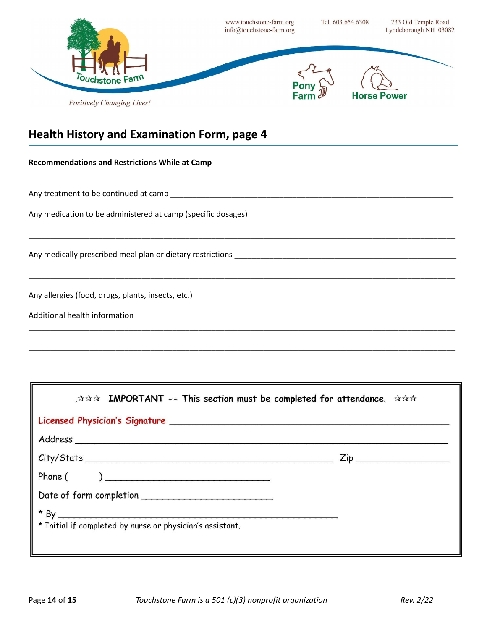

| <b>Recommendations and Restrictions While at Camp</b> |
|-------------------------------------------------------|
|                                                       |
|                                                       |
|                                                       |
|                                                       |
|                                                       |
|                                                       |
| Additional health information                         |
|                                                       |

\_\_\_\_\_\_\_\_\_\_\_\_\_\_\_\_\_\_\_\_\_\_\_\_\_\_\_\_\_\_\_\_\_\_\_\_\_\_\_\_\_\_\_\_\_\_\_\_\_\_\_\_\_\_\_\_\_\_\_\_\_\_\_\_\_\_\_\_\_\_\_\_\_\_\_\_\_\_\_\_\_\_\_\_\_\_\_\_\_\_\_\_\_\_\_\_\_\_

| .☆☆☆ IMPORTANT -- This section must be completed for attendance. ☆☆☆                                                                                                                                                           |  |  |  |  |  |  |
|--------------------------------------------------------------------------------------------------------------------------------------------------------------------------------------------------------------------------------|--|--|--|--|--|--|
| Licensed Physician's Signature entrancement and the property of the state of the state of the state of the state of the state of the state of the state of the state of the state of the state of the state of the state of th |  |  |  |  |  |  |
|                                                                                                                                                                                                                                |  |  |  |  |  |  |
|                                                                                                                                                                                                                                |  |  |  |  |  |  |
|                                                                                                                                                                                                                                |  |  |  |  |  |  |
|                                                                                                                                                                                                                                |  |  |  |  |  |  |
| * Initial if completed by nurse or physician's assistant.                                                                                                                                                                      |  |  |  |  |  |  |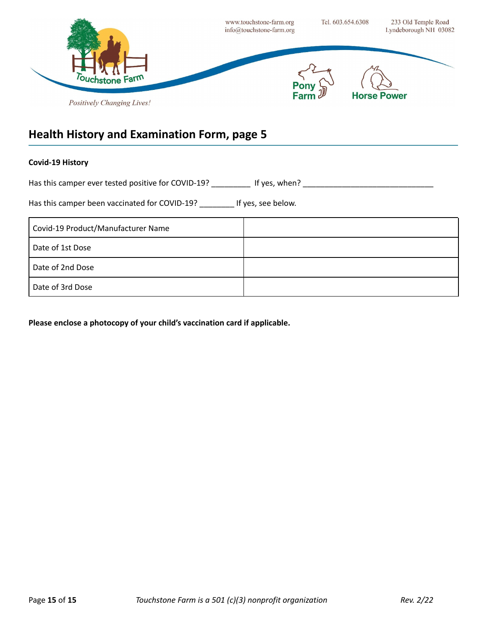

#### **Covid-19 History**

Has this camper ever tested positive for COVID-19? \_\_\_\_\_\_\_\_\_\_\_ If yes, when? \_\_\_\_\_\_\_\_\_\_\_\_\_\_\_\_\_\_\_\_\_\_\_\_\_\_\_\_\_\_\_\_\_

Has this camper been vaccinated for COVID-19? \_\_\_\_\_\_\_\_ If yes, see below.

| Covid-19 Product/Manufacturer Name |  |
|------------------------------------|--|
| Date of 1st Dose                   |  |
| Date of 2nd Dose                   |  |
| Date of 3rd Dose                   |  |

**Please enclose a photocopy of your child's vaccination card if applicable.**